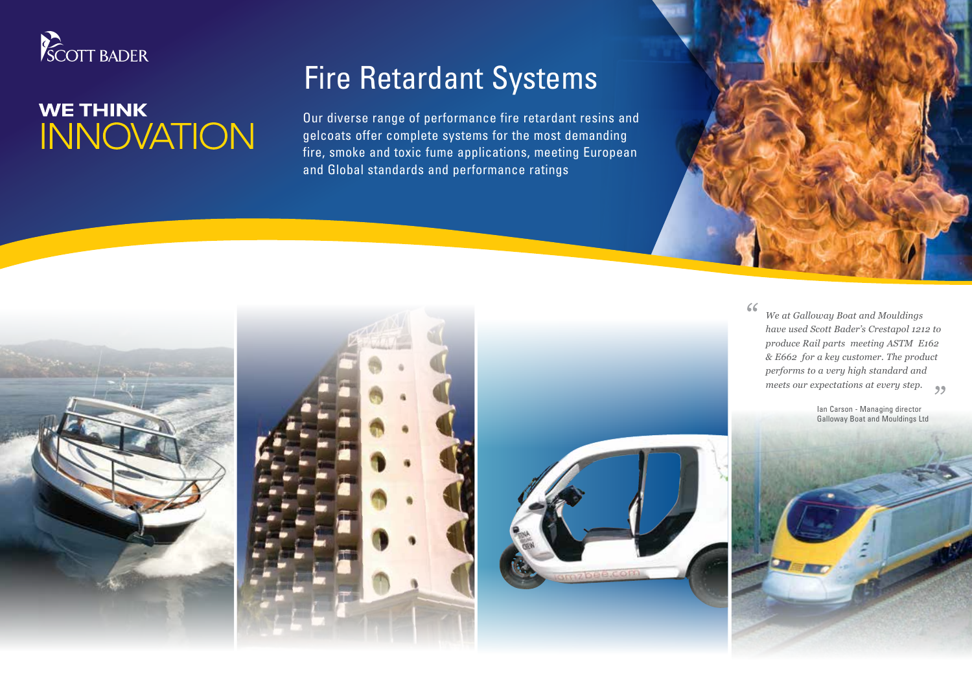

## **WE THINK INNOVATION**

## Fire Retardant Systems

Our diverse range of performance fire retardant resins and gelcoats offer complete systems for the most demanding fire, smoke and toxic fume applications, meeting European and Global standards and performance ratings





 $66$ *We at Galloway Boat and Mouldings have used Scott Bader's Crestapol 1212 to produce Rail parts meeting ASTM E162 & E662 for a key customer. The product performs to a very high standard and meets our expectations at every step.*

> Ian Carson - Managing director Galloway Boat and Mouldings Ltd